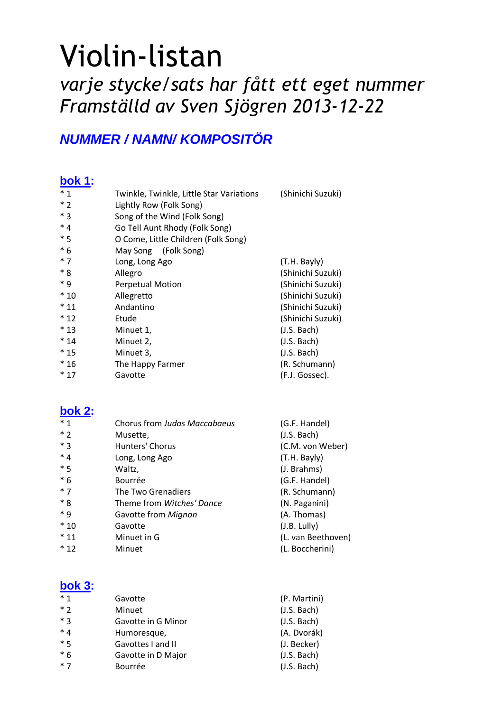# Violin-listan varje stycke/sats har fått ett eget nummer Framställd av Sven Sjögren 2013-12-22

## **NUMMER / NAMN/ KOMPOSITÖR**

#### **bok 1:**

| $*1$    | Twinkle, Twinkle, Little Star Variations | (Shinichi Suzuki) |
|---------|------------------------------------------|-------------------|
| $*2$    | Lightly Row (Folk Song)                  |                   |
| * 3     | Song of the Wind (Folk Song)             |                   |
| $*_{4}$ | Go Tell Aunt Rhody (Folk Song)           |                   |
| $*5$    | O Come, Little Children (Folk Song)      |                   |
| $*6$    | May Song (Folk Song)                     |                   |
| $*7$    | Long, Long Ago                           | (T.H. Bayly)      |
| $*8$    | Allegro                                  | (Shinichi Suzuki) |
| * q     | <b>Perpetual Motion</b>                  | (Shinichi Suzuki) |
| $*10$   | Allegretto                               | (Shinichi Suzuki) |
| $*11$   | Andantino                                | (Shinichi Suzuki) |
| $*12$   | Etude                                    | (Shinichi Suzuki) |
| $*13$   | Minuet 1,                                | (J.S. Bach)       |
| $*14$   | Minuet 2,                                | (J.S. Bach)       |
| $*15$   | Minuet 3,                                | (J.S. Bach)       |
| $*16$   | The Happy Farmer                         | (R. Schumann)     |
| $*17$   | Gavotte                                  | (F.J. Gossec).    |
|         |                                          |                   |

#### **bok 2:**

| $*1$  | Chorus from Judas Maccabaeus | (G.F. Handel)      |
|-------|------------------------------|--------------------|
| $*2$  | Musette,                     | (J.S. Bach)        |
| $*3$  | Hunters' Chorus              | (C.M. von Weber)   |
| $*4$  | Long, Long Ago               | (T.H. Bayly)       |
| $*5$  | Waltz,                       | (J. Brahms)        |
| $*6$  | Bourrée                      | (G.F. Handel)      |
| $*7$  | The Two Grenadiers           | (R. Schumann)      |
| $*8$  | Theme from Witches' Dance    | (N. Paganini)      |
| $*9$  | Gavotte from Mignon          | (A. Thomas)        |
| $*10$ | Gavotte                      | (J.B. Lully)       |
| $*11$ | Minuet in G                  | (L. van Beethoven) |
| $*12$ | Minuet                       | (L. Boccherini)    |

#### **bok 3:**

| $*1$  | Gavotte            | (P. Martini) |
|-------|--------------------|--------------|
| $*2$  | Minuet             | (J.S. Bach)  |
| $*$ 3 | Gavotte in G Minor | (J.S. Bach)  |
| $*4$  | Humoresque,        | (A. Dvorák)  |
| $*5$  | Gavottes I and II  | (J. Becker)  |
| $*6$  | Gavotte in D Major | (J.S. Bach)  |
| $*7$  | Bourrée            | (J.S. Bach)  |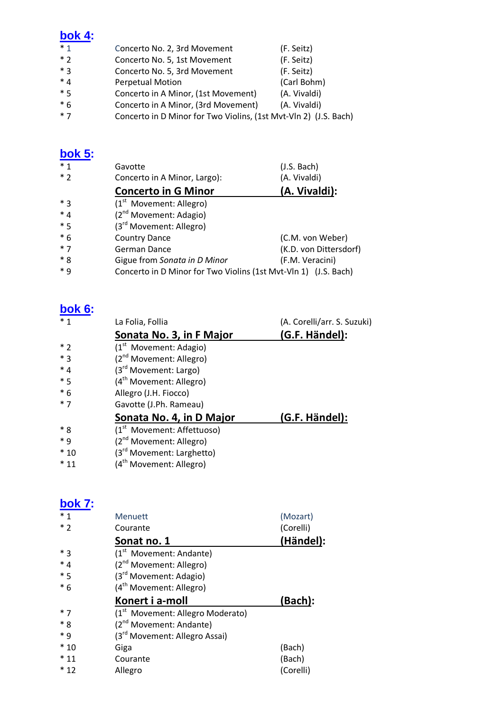#### **bok 4:**

| $*1$        | Concerto No. 2, 3rd Movement        | (F. Seitz)   |
|-------------|-------------------------------------|--------------|
| $*2$        | Concerto No. 5, 1st Movement        | (F. Seitz)   |
| $*$ 3       | Concerto No. 5, 3rd Movement        | (F. Seitz)   |
| $*4$        | <b>Perpetual Motion</b>             | (Carl Bohm)  |
| $*5$        | Concerto in A Minor, (1st Movement) | (A. Vivaldi) |
| $*6$        | Concerto in A Minor, (3rd Movement) | (A. Vivaldi) |
| $\cdot$ $-$ |                                     |              |

\* 7 Concerto in D Minor for Two Violins, (1st Mvt-Vln 2) (J.S. Bach)

## **bok 5:**

| $*1$  | Gavotte                                                         | (J.S. Bach)            |
|-------|-----------------------------------------------------------------|------------------------|
| $*2$  | Concerto in A Minor, Largo):                                    | (A. Vivaldi)           |
|       | <b>Concerto in G Minor</b>                                      | (A. Vivaldi):          |
| $*3$  | $(1st$ Movement: Allegro)                                       |                        |
| $*4$  | (2 <sup>nd</sup> Movement: Adagio)                              |                        |
| $*5$  | (3 <sup>rd</sup> Movement: Allegro)                             |                        |
| $*6$  | <b>Country Dance</b>                                            | (C.M. von Weber)       |
| $*7$  | German Dance                                                    | (K.D. von Dittersdorf) |
| $*8$  | Gigue from Sonata in D Minor                                    | (F.M. Veracini)        |
| $* q$ | Concerto in D Minor for Two Violins (1st Mvt-Vln 1) (J.S. Bach) |                        |

## **bok 6:**

| $*1$    | La Folia, Follia                       | (A. Corelli/arr. S. Suzuki) |
|---------|----------------------------------------|-----------------------------|
|         | Sonata No. 3, in F Major               | (G.F. Händel):              |
| $*$ 2   | $(1st$ Movement: Adagio)               |                             |
| $*_{3}$ | (2 <sup>nd</sup> Movement: Allegro)    |                             |
| $*_{4}$ | (3 <sup>rd</sup> Movement: Largo)      |                             |
| $*5$    | (4 <sup>th</sup> Movement: Allegro)    |                             |
| $*6$    | Allegro (J.H. Fiocco)                  |                             |
| $*7$    | Gavotte (J.Ph. Rameau)                 |                             |
|         | Sonata No. 4, in D Major               | (G.F. Händel):              |
| $*8$    | (1 <sup>st</sup> Movement: Affettuoso) |                             |
| $*$ 9   | (2 <sup>nd</sup> Movement: Allegro)    |                             |
| $*10$   | (3 <sup>rd</sup> Movement: Larghetto)  |                             |
| $*11$   | (4 <sup>th</sup> Movement: Allegro)    |                             |

#### **bok 7:**

| $*1$  | <b>Menuett</b>                               | (Mozart)  |
|-------|----------------------------------------------|-----------|
| $*2$  | Courante                                     | (Corelli) |
|       | Sonat no. 1                                  | (Händel): |
| $*3$  | (1 <sup>st</sup> Movement: Andante)          |           |
| $*4$  | (2 <sup>nd</sup> Movement: Allegro)          |           |
| $*5$  | (3 <sup>rd</sup> Movement: Adagio)           |           |
| $*6$  | (4 <sup>th</sup> Movement: Allegro)          |           |
|       | Konert i a-moll                              | (Bach):   |
| $*7$  | (1 <sup>st</sup> Movement: Allegro Moderato) |           |
| $*8$  | (2 <sup>nd</sup> Movement: Andante)          |           |
| * 9   | (3 <sup>rd</sup> Movement: Allegro Assai)    |           |
| $*10$ | Giga                                         | (Bach)    |
| $*11$ | Courante                                     | (Bach)    |
| $*12$ | Allegro                                      | (Corelli) |